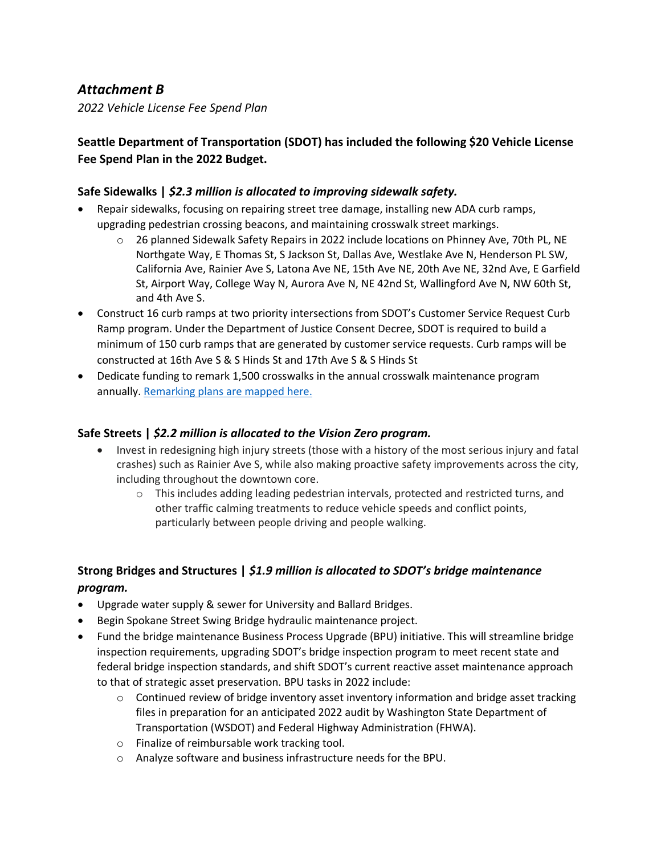# *Attachment B*

*2022 Vehicle License Fee Spend Plan*

# **Seattle Department of Transportation (SDOT) has included the following \$20 Vehicle License Fee Spend Plan in the 2022 Budget.**

#### **Safe Sidewalks |** *\$2.3 million is allocated to improving sidewalk safety.*

- Repair sidewalks, focusing on repairing street tree damage, installing new ADA curb ramps, upgrading pedestrian crossing beacons, and maintaining crosswalk street markings.
	- $\circ$  26 planned Sidewalk Safety Repairs in 2022 include locations on Phinney Ave, 70th PL, NE Northgate Way, E Thomas St, S Jackson St, Dallas Ave, Westlake Ave N, Henderson PL SW, California Ave, Rainier Ave S, Latona Ave NE, 15th Ave NE, 20th Ave NE, 32nd Ave, E Garfield St, Airport Way, College Way N, Aurora Ave N, NE 42nd St, Wallingford Ave N, NW 60th St, and 4th Ave S.
- Construct 16 curb ramps at two priority intersections from SDOT's Customer Service Request Curb Ramp program. Under the Department of Justice Consent Decree, SDOT is required to build a minimum of 150 curb ramps that are generated by customer service requests. Curb ramps will be constructed at 16th Ave S & S Hinds St and 17th Ave S & S Hinds St
- Dedicate funding to remark 1,500 crosswalks in the annual crosswalk maintenance program annually. Remarking plans are mapped here.

#### **Safe Streets |** *\$2.2 million is allocated to the Vision Zero program.*

- Invest in redesigning high injury streets (those with a history of the most serious injury and fatal crashes) such as Rainier Ave S, while also making proactive safety improvements across the city, including throughout the downtown core.
	- $\circ$  This includes adding leading pedestrian intervals, protected and restricted turns, and other traffic calming treatments to reduce vehicle speeds and conflict points, particularly between people driving and people walking.

### **Strong Bridges and Structures |** *\$1.9 million is allocated to SDOT's bridge maintenance program.*

- Upgrade water supply & sewer for University and Ballard Bridges.
- Begin Spokane Street Swing Bridge hydraulic maintenance project.
- Fund the bridge maintenance Business Process Upgrade (BPU) initiative. This will streamline bridge inspection requirements, upgrading SDOT's bridge inspection program to meet recent state and federal bridge inspection standards, and shift SDOT's current reactive asset maintenance approach to that of strategic asset preservation. BPU tasks in 2022 include:
	- $\circ$  Continued review of bridge inventory asset inventory information and bridge asset tracking files in preparation for an anticipated 2022 audit by Washington State Department of Transportation (WSDOT) and Federal Highway Administration (FHWA).
	- o Finalize of reimbursable work tracking tool.
	- o Analyze software and business infrastructure needs for the BPU.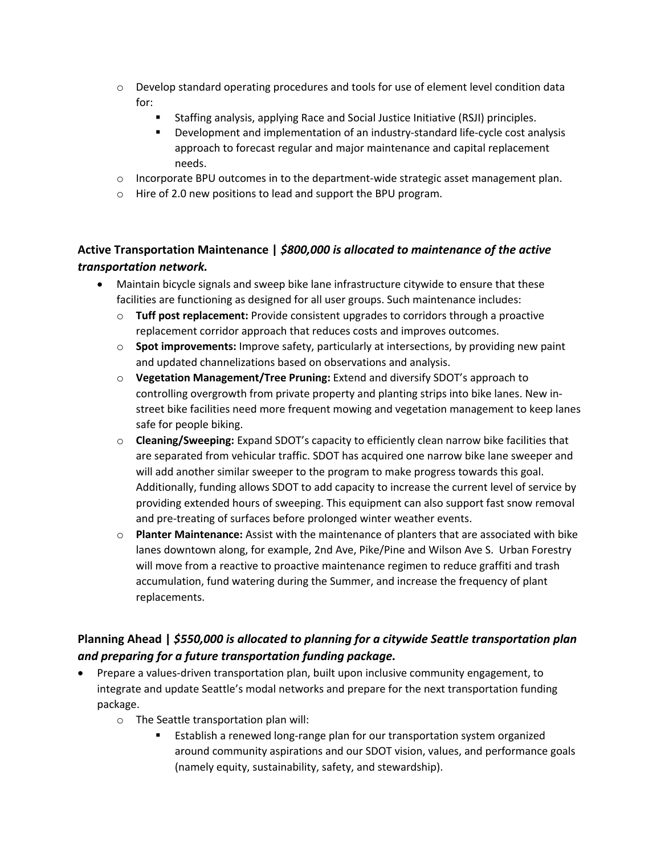- $\circ$  Develop standard operating procedures and tools for use of element level condition data for:
	- Staffing analysis, applying Race and Social Justice Initiative (RSJI) principles.
	- § Development and implementation of an industry-standard life-cycle cost analysis approach to forecast regular and major maintenance and capital replacement needs.
- $\circ$  Incorporate BPU outcomes in to the department-wide strategic asset management plan.
- o Hire of 2.0 new positions to lead and support the BPU program.

## **Active Transportation Maintenance |** *\$800,000 is allocated to maintenance of the active transportation network.*

- Maintain bicycle signals and sweep bike lane infrastructure citywide to ensure that these facilities are functioning as designed for all user groups. Such maintenance includes:
	- o **Tuff post replacement:** Provide consistent upgrades to corridors through a proactive replacement corridor approach that reduces costs and improves outcomes.
	- o **Spot improvements:** Improve safety, particularly at intersections, by providing new paint and updated channelizations based on observations and analysis.
	- o **Vegetation Management/Tree Pruning:** Extend and diversify SDOT's approach to controlling overgrowth from private property and planting strips into bike lanes. New instreet bike facilities need more frequent mowing and vegetation management to keep lanes safe for people biking.
	- o **Cleaning/Sweeping:** Expand SDOT's capacity to efficiently clean narrow bike facilities that are separated from vehicular traffic. SDOT has acquired one narrow bike lane sweeper and will add another similar sweeper to the program to make progress towards this goal. Additionally, funding allows SDOT to add capacity to increase the current level of service by providing extended hours of sweeping. This equipment can also support fast snow removal and pre-treating of surfaces before prolonged winter weather events.
	- o **Planter Maintenance:** Assist with the maintenance of planters that are associated with bike lanes downtown along, for example, 2nd Ave, Pike/Pine and Wilson Ave S. Urban Forestry will move from a reactive to proactive maintenance regimen to reduce graffiti and trash accumulation, fund watering during the Summer, and increase the frequency of plant replacements.

## **Planning Ahead |** *\$550,000 is allocated to planning for a citywide Seattle transportation plan and preparing for a future transportation funding package.*

- Prepare a values-driven transportation plan, built upon inclusive community engagement, to integrate and update Seattle's modal networks and prepare for the next transportation funding package.
	- o The Seattle transportation plan will:
		- Establish a renewed long-range plan for our transportation system organized around community aspirations and our SDOT vision, values, and performance goals (namely equity, sustainability, safety, and stewardship).